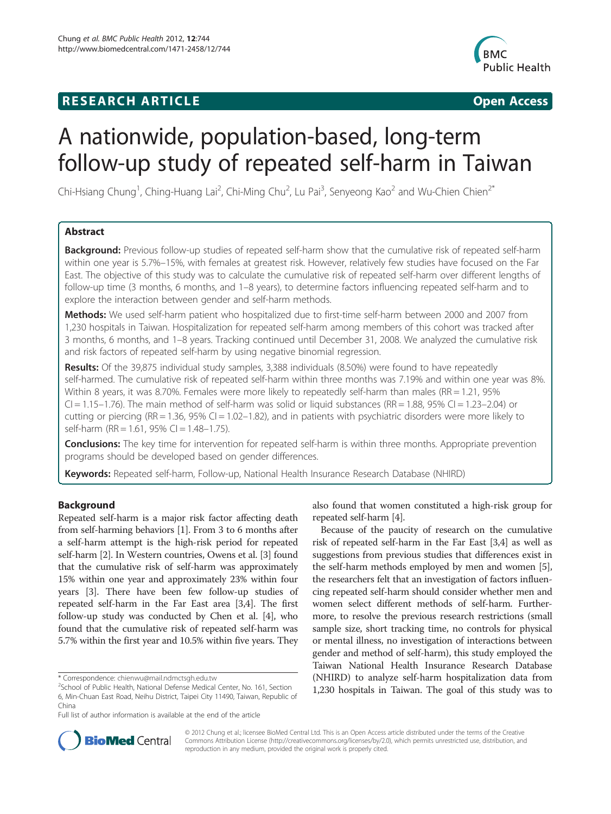# **RESEARCH ARTICLE Example 2014 CONSIDERING CONSIDERING CONSIDERING CONSIDERING CONSIDERING CONSIDERING CONSIDERING CONSIDERING CONSIDERING CONSIDERING CONSIDERING CONSIDERING CONSIDERING CONSIDERING CONSIDERING CONSIDE**



# A nationwide, population-based, long-term follow-up study of repeated self-harm in Taiwan

Chi-Hsiang Chung<sup>1</sup>, Ching-Huang Lai<sup>2</sup>, Chi-Ming Chu<sup>2</sup>, Lu Pai<sup>3</sup>, Senyeong Kao<sup>2</sup> and Wu-Chien Chien<sup>2\*</sup>

# Abstract

Background: Previous follow-up studies of repeated self-harm show that the cumulative risk of repeated self-harm within one year is 5.7%–15%, with females at greatest risk. However, relatively few studies have focused on the Far East. The objective of this study was to calculate the cumulative risk of repeated self-harm over different lengths of follow-up time (3 months, 6 months, and 1–8 years), to determine factors influencing repeated self-harm and to explore the interaction between gender and self-harm methods.

Methods: We used self-harm patient who hospitalized due to first-time self-harm between 2000 and 2007 from 1,230 hospitals in Taiwan. Hospitalization for repeated self-harm among members of this cohort was tracked after 3 months, 6 months, and 1–8 years. Tracking continued until December 31, 2008. We analyzed the cumulative risk and risk factors of repeated self-harm by using negative binomial regression.

Results: Of the 39,875 individual study samples, 3,388 individuals (8.50%) were found to have repeatedly self-harmed. The cumulative risk of repeated self-harm within three months was 7.19% and within one year was 8%. Within 8 years, it was 8.70%. Females were more likely to repeatedly self-harm than males (RR = 1.21, 95%  $Cl = 1.15-1.76$ ). The main method of self-harm was solid or liquid substances (RR = 1.88, 95% CI = 1.23-2.04) or cutting or piercing (RR = 1.36, 95% CI = 1.02–1.82), and in patients with psychiatric disorders were more likely to self-harm (RR = 1.61, 95% CI = 1.48-1.75).

**Conclusions:** The key time for intervention for repeated self-harm is within three months. Appropriate prevention programs should be developed based on gender differences.

Keywords: Repeated self-harm, Follow-up, National Health Insurance Research Database (NHIRD)

# Background

Repeated self-harm is a major risk factor affecting death from self-harming behaviors [[1\]](#page-7-0). From 3 to 6 months after a self-harm attempt is the high-risk period for repeated self-harm [\[2](#page-7-0)]. In Western countries, Owens et al. [[3](#page-7-0)] found that the cumulative risk of self-harm was approximately 15% within one year and approximately 23% within four years [\[3](#page-7-0)]. There have been few follow-up studies of repeated self-harm in the Far East area [\[3,4](#page-7-0)]. The first follow-up study was conducted by Chen et al. [\[4\]](#page-7-0), who found that the cumulative risk of repeated self-harm was 5.7% within the first year and 10.5% within five years. They

also found that women constituted a high-risk group for repeated self-harm [\[4\]](#page-7-0).

Because of the paucity of research on the cumulative risk of repeated self-harm in the Far East [[3,4](#page-7-0)] as well as suggestions from previous studies that differences exist in the self-harm methods employed by men and women [[5](#page-7-0)], the researchers felt that an investigation of factors influencing repeated self-harm should consider whether men and women select different methods of self-harm. Furthermore, to resolve the previous research restrictions (small sample size, short tracking time, no controls for physical or mental illness, no investigation of interactions between gender and method of self-harm), this study employed the Taiwan National Health Insurance Research Database (NHIRD) to analyze self-harm hospitalization data from 1,230 hospitals in Taiwan. The goal of this study was to



© 2012 Chung et al.; licensee BioMed Central Ltd. This is an Open Access article distributed under the terms of the Creative Commons Attribution License [\(http://creativecommons.org/licenses/by/2.0\)](http://creativecommons.org/licenses/by/2.0), which permits unrestricted use, distribution, and reproduction in any medium, provided the original work is properly cited.

<sup>\*</sup> Correspondence: [chienwu@mail.ndmctsgh.edu.tw](mailto:chienwu@mail.ndmctsgh.edu.tw) <sup>2</sup>

<sup>&</sup>lt;sup>2</sup>School of Public Health, National Defense Medical Center, No. 161, Section 6, Min-Chuan East Road, Neihu District, Taipei City 11490, Taiwan, Republic of China

Full list of author information is available at the end of the article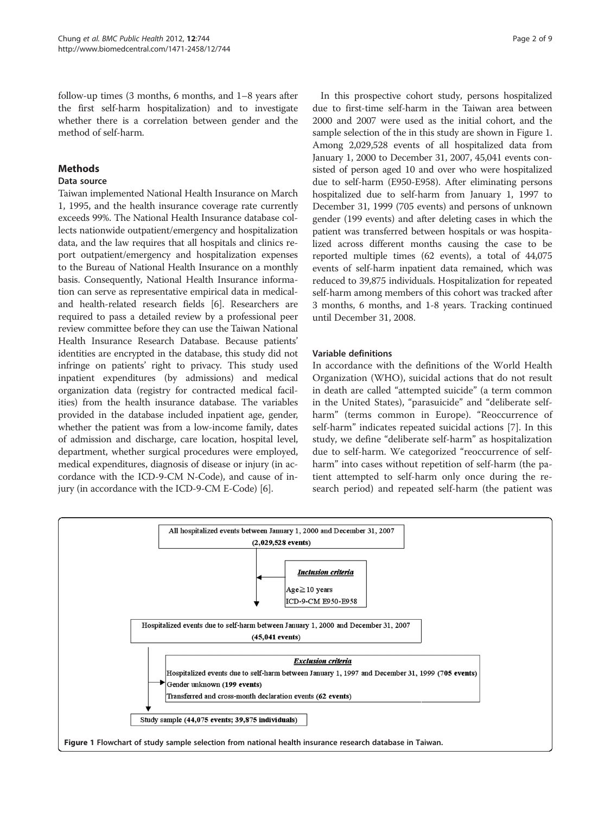follow-up times (3 months, 6 months, and 1–8 years after the first self-harm hospitalization) and to investigate whether there is a correlation between gender and the method of self-harm.

# Methods

# Data source

Taiwan implemented National Health Insurance on March 1, 1995, and the health insurance coverage rate currently exceeds 99%. The National Health Insurance database collects nationwide outpatient/emergency and hospitalization data, and the law requires that all hospitals and clinics report outpatient/emergency and hospitalization expenses to the Bureau of National Health Insurance on a monthly basis. Consequently, National Health Insurance information can serve as representative empirical data in medicaland health-related research fields [[6\]](#page-7-0). Researchers are required to pass a detailed review by a professional peer review committee before they can use the Taiwan National Health Insurance Research Database. Because patients' identities are encrypted in the database, this study did not infringe on patients' right to privacy. This study used inpatient expenditures (by admissions) and medical organization data (registry for contracted medical facilities) from the health insurance database. The variables provided in the database included inpatient age, gender, whether the patient was from a low-income family, dates of admission and discharge, care location, hospital level, department, whether surgical procedures were employed, medical expenditures, diagnosis of disease or injury (in accordance with the ICD-9-CM N-Code), and cause of injury (in accordance with the ICD-9-CM E-Code) [\[6](#page-7-0)].

In this prospective cohort study, persons hospitalized due to first-time self-harm in the Taiwan area between 2000 and 2007 were used as the initial cohort, and the sample selection of the in this study are shown in Figure 1. Among 2,029,528 events of all hospitalized data from January 1, 2000 to December 31, 2007, 45,041 events consisted of person aged 10 and over who were hospitalized due to self-harm (E950-E958). After eliminating persons hospitalized due to self-harm from January 1, 1997 to December 31, 1999 (705 events) and persons of unknown gender (199 events) and after deleting cases in which the patient was transferred between hospitals or was hospitalized across different months causing the case to be reported multiple times (62 events), a total of 44,075 events of self-harm inpatient data remained, which was reduced to 39,875 individuals. Hospitalization for repeated self-harm among members of this cohort was tracked after 3 months, 6 months, and 1-8 years. Tracking continued until December 31, 2008.

## Variable definitions

In accordance with the definitions of the World Health Organization (WHO), suicidal actions that do not result in death are called "attempted suicide" (a term common in the United States), "parasuicide" and "deliberate selfharm" (terms common in Europe). "Reoccurrence of self-harm" indicates repeated suicidal actions [[7\]](#page-7-0). In this study, we define "deliberate self-harm" as hospitalization due to self-harm. We categorized "reoccurrence of selfharm" into cases without repetition of self-harm (the patient attempted to self-harm only once during the research period) and repeated self-harm (the patient was

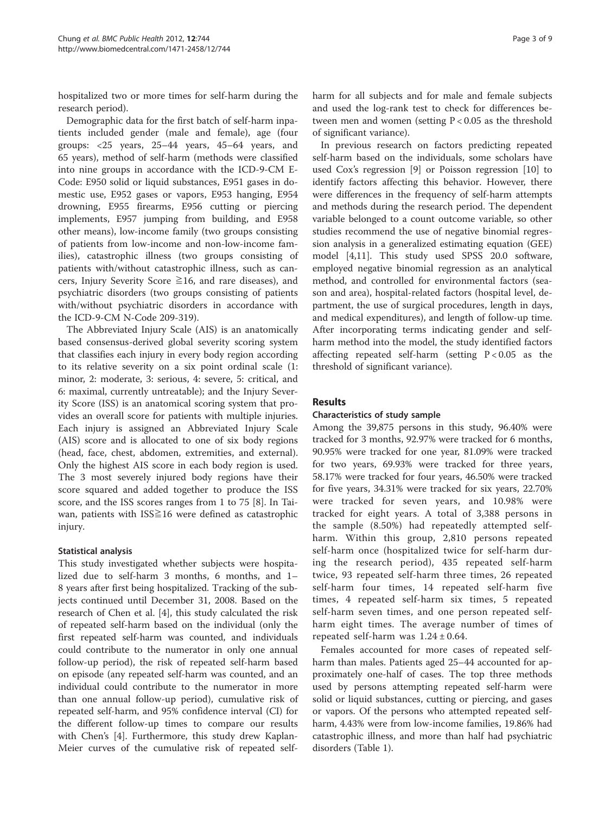hospitalized two or more times for self-harm during the research period).

Demographic data for the first batch of self-harm inpatients included gender (male and female), age (four groups: <25 years, 25–44 years, 45–64 years, and 65 years), method of self-harm (methods were classified into nine groups in accordance with the ICD-9-CM E-Code: E950 solid or liquid substances, E951 gases in domestic use, E952 gases or vapors, E953 hanging, E954 drowning, E955 firearms, E956 cutting or piercing implements, E957 jumping from building, and E958 other means), low-income family (two groups consisting of patients from low-income and non-low-income families), catastrophic illness (two groups consisting of patients with/without catastrophic illness, such as cancers, Injury Severity Score  $\geq 16$ , and rare diseases), and psychiatric disorders (two groups consisting of patients with/without psychiatric disorders in accordance with the ICD-9-CM N-Code 209-319).

The Abbreviated Injury Scale (AIS) is an anatomically based consensus-derived global severity scoring system that classifies each injury in every body region according to its relative severity on a six point ordinal scale (1: minor, 2: moderate, 3: serious, 4: severe, 5: critical, and 6: maximal, currently untreatable); and the Injury Severity Score (ISS) is an anatomical scoring system that provides an overall score for patients with multiple injuries. Each injury is assigned an Abbreviated Injury Scale (AIS) score and is allocated to one of six body regions (head, face, chest, abdomen, extremities, and external). Only the highest AIS score in each body region is used. The 3 most severely injured body regions have their score squared and added together to produce the ISS score, and the ISS scores ranges from 1 to 75 [\[8](#page-7-0)]. In Taiwan, patients with ISS≧16 were defined as catastrophic injury.

# Statistical analysis

This study investigated whether subjects were hospitalized due to self-harm 3 months, 6 months, and 1– 8 years after first being hospitalized. Tracking of the subjects continued until December 31, 2008. Based on the research of Chen et al. [[4\]](#page-7-0), this study calculated the risk of repeated self-harm based on the individual (only the first repeated self-harm was counted, and individuals could contribute to the numerator in only one annual follow-up period), the risk of repeated self-harm based on episode (any repeated self-harm was counted, and an individual could contribute to the numerator in more than one annual follow-up period), cumulative risk of repeated self-harm, and 95% confidence interval (CI) for the different follow-up times to compare our results with Chen's [[4\]](#page-7-0). Furthermore, this study drew Kaplan-Meier curves of the cumulative risk of repeated selfharm for all subjects and for male and female subjects and used the log-rank test to check for differences between men and women (setting  $P < 0.05$  as the threshold of significant variance).

In previous research on factors predicting repeated self-harm based on the individuals, some scholars have used Cox's regression [[9\]](#page-7-0) or Poisson regression [[10\]](#page-7-0) to identify factors affecting this behavior. However, there were differences in the frequency of self-harm attempts and methods during the research period. The dependent variable belonged to a count outcome variable, so other studies recommend the use of negative binomial regression analysis in a generalized estimating equation (GEE) model [[4](#page-7-0),[11](#page-7-0)]. This study used SPSS 20.0 software, employed negative binomial regression as an analytical method, and controlled for environmental factors (season and area), hospital-related factors (hospital level, department, the use of surgical procedures, length in days, and medical expenditures), and length of follow-up time. After incorporating terms indicating gender and selfharm method into the model, the study identified factors affecting repeated self-harm (setting  $P < 0.05$  as the threshold of significant variance).

# **Results**

# Characteristics of study sample

Among the 39,875 persons in this study, 96.40% were tracked for 3 months, 92.97% were tracked for 6 months, 90.95% were tracked for one year, 81.09% were tracked for two years, 69.93% were tracked for three years, 58.17% were tracked for four years, 46.50% were tracked for five years, 34.31% were tracked for six years, 22.70% were tracked for seven years, and 10.98% were tracked for eight years. A total of 3,388 persons in the sample (8.50%) had repeatedly attempted selfharm. Within this group, 2,810 persons repeated self-harm once (hospitalized twice for self-harm during the research period), 435 repeated self-harm twice, 93 repeated self-harm three times, 26 repeated self-harm four times, 14 repeated self-harm five times, 4 repeated self-harm six times, 5 repeated self-harm seven times, and one person repeated selfharm eight times. The average number of times of repeated self-harm was  $1.24 \pm 0.64$ .

Females accounted for more cases of repeated selfharm than males. Patients aged 25–44 accounted for approximately one-half of cases. The top three methods used by persons attempting repeated self-harm were solid or liquid substances, cutting or piercing, and gases or vapors. Of the persons who attempted repeated selfharm, 4.43% were from low-income families, 19.86% had catastrophic illness, and more than half had psychiatric disorders (Table [1](#page-3-0)).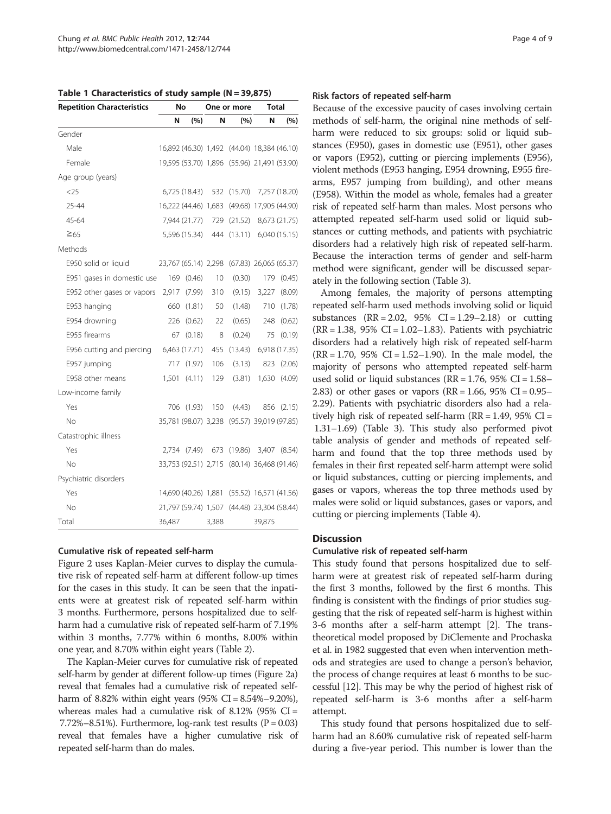<span id="page-3-0"></span>Table 1 Characteristics of study sample (N = 39,875)

| <b>Repetition Characteristics</b> | No<br>One or more |               | <b>Total</b> |                                             |        |               |
|-----------------------------------|-------------------|---------------|--------------|---------------------------------------------|--------|---------------|
|                                   | N                 | (%)           | N            | (%)                                         | N      | (%)           |
| Gender                            |                   |               |              |                                             |        |               |
| Male                              |                   |               |              | 16,892 (46.30) 1,492 (44.04) 18,384 (46.10) |        |               |
| Female                            |                   |               |              | 19,595 (53.70) 1,896 (55.96) 21,491 (53.90) |        |               |
| Age group (years)                 |                   |               |              |                                             |        |               |
| <25                               |                   | 6,725 (18.43) |              | 532 (15.70)                                 |        | 7,257 (18.20) |
| 25-44                             |                   |               |              | 16,222 (44.46) 1,683 (49.68) 17,905 (44.90) |        |               |
| 45-64                             |                   | 7,944 (21.77) |              | 729 (21.52)                                 |        | 8,673 (21.75) |
| $\geq 65$                         |                   | 5,596 (15.34) |              | 444 (13.11) 6,040 (15.15)                   |        |               |
| Methods                           |                   |               |              |                                             |        |               |
| E950 solid or liquid              |                   |               |              | 23,767 (65.14) 2,298 (67.83) 26,065 (65.37) |        |               |
| E951 gases in domestic use        | 169               | (0.46)        | 10           | (0.30)                                      | 179    | (0.45)        |
| E952 other gases or vapors        | 2,917             | (7.99)        | 310          | (9.15)                                      | 3,227  | (8.09)        |
| E953 hanging                      | 660               | (1.81)        | 50           | (1.48)                                      | 710    | (1.78)        |
| E954 drowning                     | 226               | (0.62)        | 22           | (0.65)                                      | 248    | (0.62)        |
| E955 firearms                     | 67                | (0.18)        | 8            | (0.24)                                      | 75     | (0.19)        |
| E956 cutting and piercing         |                   | 6,463 (17.71) | 455          | (13.43)                                     |        | 6,918 (17.35) |
| E957 jumping                      | 717               | (1.97)        | 106          | (3.13)                                      | 823    | (2.06)        |
| E958 other means                  | 1,501             | (4.11)        | 129          | (3.81)                                      | 1,630  | (4.09)        |
| Low-income family                 |                   |               |              |                                             |        |               |
| Yes                               | 706               | (1.93)        | 150          | (4.43)                                      |        | 856 (2.15)    |
| No                                |                   |               |              | 35,781 (98.07) 3,238 (95.57) 39,019 (97.85) |        |               |
| Catastrophic illness              |                   |               |              |                                             |        |               |
| Yes                               |                   | 2,734 (7.49)  |              | 673 (19.86)                                 |        | 3,407 (8.54)  |
| No                                |                   |               |              | 33,753 (92.51) 2,715 (80.14) 36,468 (91.46) |        |               |
| Psychiatric disorders             |                   |               |              |                                             |        |               |
| Yes                               |                   |               |              | 14,690 (40.26) 1,881 (55.52) 16,571 (41.56) |        |               |
| No                                |                   |               |              | 21,797 (59.74) 1,507 (44.48) 23,304 (58.44) |        |               |
| Total                             | 36,487            |               | 3,388        |                                             | 39,875 |               |

#### Cumulative risk of repeated self-harm

Figure [2](#page-4-0) uses Kaplan-Meier curves to display the cumulative risk of repeated self-harm at different follow-up times for the cases in this study. It can be seen that the inpatients were at greatest risk of repeated self-harm within 3 months. Furthermore, persons hospitalized due to selfharm had a cumulative risk of repeated self-harm of 7.19% within 3 months, 7.77% within 6 months, 8.00% within one year, and 8.70% within eight years (Table [2\)](#page-5-0).

The Kaplan-Meier curves for cumulative risk of repeated self-harm by gender at different follow-up times (Figure [2a](#page-4-0)) reveal that females had a cumulative risk of repeated selfharm of 8.82% within eight years  $(95\% \text{ CI} = 8.54\% - 9.20\%),$ whereas males had a cumulative risk of 8.12% (95%  $CI =$ 7.72%–8.51%). Furthermore,  $log-rank$  test results  $(P = 0.03)$ reveal that females have a higher cumulative risk of repeated self-harm than do males.

#### Risk factors of repeated self-harm

Because of the excessive paucity of cases involving certain methods of self-harm, the original nine methods of selfharm were reduced to six groups: solid or liquid substances (E950), gases in domestic use (E951), other gases or vapors (E952), cutting or piercing implements (E956), violent methods (E953 hanging, E954 drowning, E955 firearms, E957 jumping from building), and other means (E958). Within the model as whole, females had a greater risk of repeated self-harm than males. Most persons who attempted repeated self-harm used solid or liquid substances or cutting methods, and patients with psychiatric disorders had a relatively high risk of repeated self-harm. Because the interaction terms of gender and self-harm method were significant, gender will be discussed separately in the following section (Table [3\)](#page-6-0).

Among females, the majority of persons attempting repeated self-harm used methods involving solid or liquid substances  $(RR = 2.02, 95\% \text{ CI} = 1.29 - 2.18)$  or cutting  $(RR = 1.38, 95\% \text{ CI} = 1.02 - 1.83)$ . Patients with psychiatric disorders had a relatively high risk of repeated self-harm  $(RR = 1.70, 95\% \text{ CI} = 1.52 - 1.90)$ . In the male model, the majority of persons who attempted repeated self-harm used solid or liquid substances ( $RR = 1.76$ ,  $95\%$  CI = 1.58– 2.83) or other gases or vapors ( $RR = 1.66$ ,  $95\%$  CI = 0.95– 2.29). Patients with psychiatric disorders also had a relatively high risk of repeated self-harm ( $RR = 1.49$ ,  $95\%$  CI = 1.31–1.69) (Table [3](#page-6-0)). This study also performed pivot table analysis of gender and methods of repeated selfharm and found that the top three methods used by females in their first repeated self-harm attempt were solid or liquid substances, cutting or piercing implements, and gases or vapors, whereas the top three methods used by males were solid or liquid substances, gases or vapors, and cutting or piercing implements (Table [4](#page-6-0)).

#### **Discussion**

#### Cumulative risk of repeated self-harm

This study found that persons hospitalized due to selfharm were at greatest risk of repeated self-harm during the first 3 months, followed by the first 6 months. This finding is consistent with the findings of prior studies suggesting that the risk of repeated self-harm is highest within 3-6 months after a self-harm attempt [[2](#page-7-0)]. The transtheoretical model proposed by DiClemente and Prochaska et al. in 1982 suggested that even when intervention methods and strategies are used to change a person's behavior, the process of change requires at least 6 months to be successful [\[12\]](#page-7-0). This may be why the period of highest risk of repeated self-harm is 3-6 months after a self-harm attempt.

This study found that persons hospitalized due to selfharm had an 8.60% cumulative risk of repeated self-harm during a five-year period. This number is lower than the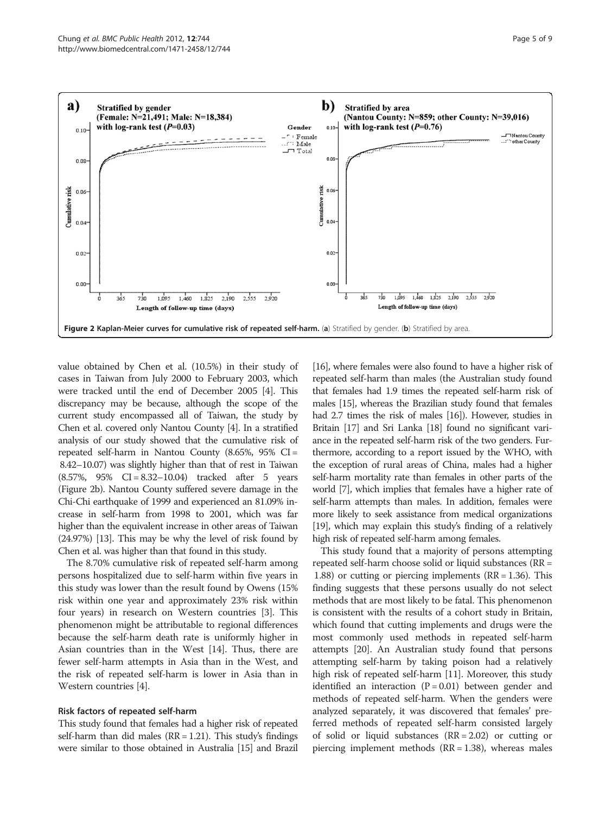<span id="page-4-0"></span>

value obtained by Chen et al. (10.5%) in their study of cases in Taiwan from July 2000 to February 2003, which were tracked until the end of December 2005 [[4](#page-7-0)]. This discrepancy may be because, although the scope of the current study encompassed all of Taiwan, the study by Chen et al. covered only Nantou County [[4](#page-7-0)]. In a stratified analysis of our study showed that the cumulative risk of repeated self-harm in Nantou County (8.65%, 95% CI = 8.42–10.07) was slightly higher than that of rest in Taiwan (8.57%, 95% CI = 8.32–10.04) tracked after 5 years (Figure 2b). Nantou County suffered severe damage in the Chi-Chi earthquake of 1999 and experienced an 81.09% increase in self-harm from 1998 to 2001, which was far higher than the equivalent increase in other areas of Taiwan (24.97%) [[13](#page-8-0)]. This may be why the level of risk found by Chen et al. was higher than that found in this study.

The 8.70% cumulative risk of repeated self-harm among persons hospitalized due to self-harm within five years in this study was lower than the result found by Owens (15% risk within one year and approximately 23% risk within four years) in research on Western countries [[3\]](#page-7-0). This phenomenon might be attributable to regional differences because the self-harm death rate is uniformly higher in Asian countries than in the West [\[14](#page-8-0)]. Thus, there are fewer self-harm attempts in Asia than in the West, and the risk of repeated self-harm is lower in Asia than in Western countries [\[4\]](#page-7-0).

## Risk factors of repeated self-harm

This study found that females had a higher risk of repeated self-harm than did males  $(RR = 1.21)$ . This study's findings were similar to those obtained in Australia [\[15\]](#page-8-0) and Brazil

[[16](#page-8-0)], where females were also found to have a higher risk of repeated self-harm than males (the Australian study found that females had 1.9 times the repeated self-harm risk of males [[15\]](#page-8-0), whereas the Brazilian study found that females had 2.7 times the risk of males [\[16\]](#page-8-0)). However, studies in Britain [\[17\]](#page-8-0) and Sri Lanka [\[18](#page-8-0)] found no significant variance in the repeated self-harm risk of the two genders. Furthermore, according to a report issued by the WHO, with the exception of rural areas of China, males had a higher self-harm mortality rate than females in other parts of the world [[7](#page-7-0)], which implies that females have a higher rate of self-harm attempts than males. In addition, females were more likely to seek assistance from medical organizations [[19](#page-8-0)], which may explain this study's finding of a relatively high risk of repeated self-harm among females.

This study found that a majority of persons attempting repeated self-harm choose solid or liquid substances (RR = 1.88) or cutting or piercing implements (RR = 1.36). This finding suggests that these persons usually do not select methods that are most likely to be fatal. This phenomenon is consistent with the results of a cohort study in Britain, which found that cutting implements and drugs were the most commonly used methods in repeated self-harm attempts [[20](#page-8-0)]. An Australian study found that persons attempting self-harm by taking poison had a relatively high risk of repeated self-harm [\[11\]](#page-7-0). Moreover, this study identified an interaction  $(P = 0.01)$  between gender and methods of repeated self-harm. When the genders were analyzed separately, it was discovered that females' preferred methods of repeated self-harm consisted largely of solid or liquid substances  $(RR = 2.02)$  or cutting or piercing implement methods  $(RR = 1.38)$ , whereas males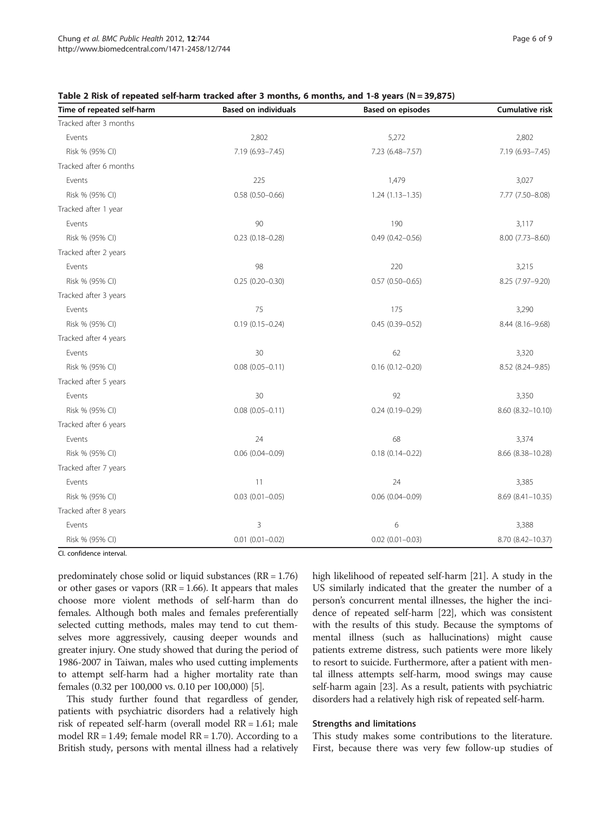| Time of repeated self-harm | <b>Based on individuals</b> | <b>Based on episodes</b> | Cumulative risk   |
|----------------------------|-----------------------------|--------------------------|-------------------|
| Tracked after 3 months     |                             |                          |                   |
| Events                     | 2,802                       | 5,272                    | 2,802             |
| Risk % (95% CI)            | 7.19 (6.93-7.45)            | 7.23 (6.48-7.57)         | 7.19 (6.93-7.45)  |
| Tracked after 6 months     |                             |                          |                   |
| Events                     | 225                         | 1,479                    | 3,027             |
| Risk % (95% CI)            | $0.58(0.50 - 0.66)$         | $1.24(1.13 - 1.35)$      | 7.77 (7.50-8.08)  |
| Tracked after 1 year       |                             |                          |                   |
| Events                     | 90                          | 190                      | 3,117             |
| Risk % (95% CI)            | $0.23$ (0.18-0.28)          | $0.49(0.42 - 0.56)$      | 8.00 (7.73-8.60)  |
| Tracked after 2 years      |                             |                          |                   |
| Events                     | 98                          | 220                      | 3,215             |
| Risk % (95% CI)            | $0.25(0.20 - 0.30)$         | $0.57$ (0.50-0.65)       | 8.25 (7.97-9.20)  |
| Tracked after 3 years      |                             |                          |                   |
| Events                     | 75                          | 175                      | 3,290             |
| Risk % (95% CI)            | $0.19(0.15 - 0.24)$         | $0.45(0.39 - 0.52)$      | 8.44 (8.16-9.68)  |
| Tracked after 4 years      |                             |                          |                   |
| Events                     | 30                          | 62                       | 3,320             |
| Risk % (95% CI)            | $0.08$ $(0.05 - 0.11)$      | $0.16(0.12 - 0.20)$      | 8.52 (8.24-9.85)  |
| Tracked after 5 years      |                             |                          |                   |
| Events                     | 30                          | 92                       | 3,350             |
| Risk % (95% CI)            | $0.08$ $(0.05 - 0.11)$      | $0.24(0.19 - 0.29)$      | 8.60 (8.32-10.10) |
| Tracked after 6 years      |                             |                          |                   |
| Events                     | 24                          | 68                       | 3,374             |
| Risk % (95% CI)            | $0.06$ (0.04-0.09)          | $0.18(0.14 - 0.22)$      | 8.66 (8.38-10.28) |
| Tracked after 7 years      |                             |                          |                   |
| Events                     | 11                          | 24                       | 3,385             |
| Risk % (95% CI)            | $0.03$ $(0.01 - 0.05)$      | $0.06(0.04 - 0.09)$      | 8.69 (8.41-10.35) |
| Tracked after 8 years      |                             |                          |                   |
| Events                     | 3                           | 6                        | 3,388             |
| Risk % (95% CI)            | $0.01$ $(0.01 - 0.02)$      | $0.02$ (0.01-0.03)       | 8.70 (8.42-10.37) |

#### <span id="page-5-0"></span>Table 2 Risk of repeated self-harm tracked after 3 months, 6 months, and 1-8 years (N = 39,875)

CI. confidence interval.

predominately chose solid or liquid substances (RR = 1.76) or other gases or vapors (RR = 1.66). It appears that males choose more violent methods of self-harm than do females. Although both males and females preferentially selected cutting methods, males may tend to cut themselves more aggressively, causing deeper wounds and greater injury. One study showed that during the period of 1986-2007 in Taiwan, males who used cutting implements to attempt self-harm had a higher mortality rate than females (0.32 per 100,000 vs. 0.10 per 100,000) [[5\]](#page-7-0).

This study further found that regardless of gender, patients with psychiatric disorders had a relatively high risk of repeated self-harm (overall model RR = 1.61; male model  $RR = 1.49$ ; female model  $RR = 1.70$ ). According to a British study, persons with mental illness had a relatively high likelihood of repeated self-harm [\[21](#page-8-0)]. A study in the US similarly indicated that the greater the number of a person's concurrent mental illnesses, the higher the incidence of repeated self-harm [\[22\]](#page-8-0), which was consistent with the results of this study. Because the symptoms of mental illness (such as hallucinations) might cause patients extreme distress, such patients were more likely to resort to suicide. Furthermore, after a patient with mental illness attempts self-harm, mood swings may cause self-harm again [\[23\]](#page-8-0). As a result, patients with psychiatric disorders had a relatively high risk of repeated self-harm.

#### Strengths and limitations

This study makes some contributions to the literature. First, because there was very few follow-up studies of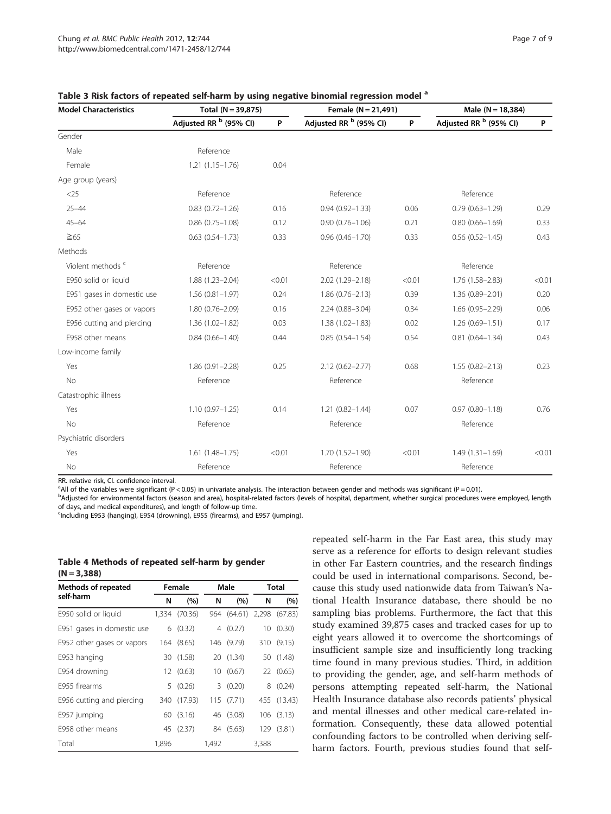| <b>Model Characteristics</b> | Total $(N = 39,875)$              |        | Female $(N = 21,491)$             |        | Male $(N = 18, 384)$              |        |
|------------------------------|-----------------------------------|--------|-----------------------------------|--------|-----------------------------------|--------|
|                              | Adjusted RR <sup>b</sup> (95% CI) | P.     | Adjusted RR <sup>b</sup> (95% CI) | P      | Adjusted RR <sup>b</sup> (95% CI) | P      |
| Gender                       |                                   |        |                                   |        |                                   |        |
| Male                         | Reference                         |        |                                   |        |                                   |        |
| Female                       | $1.21(1.15 - 1.76)$               | 0.04   |                                   |        |                                   |        |
| Age group (years)            |                                   |        |                                   |        |                                   |        |
| $<$ 25                       | Reference                         |        | Reference                         |        | Reference                         |        |
| $25 - 44$                    | $0.83(0.72 - 1.26)$               | 0.16   | $0.94(0.92 - 1.33)$               | 0.06   | $0.79(0.63 - 1.29)$               | 0.29   |
| $45 - 64$                    | $0.86$ (0.75-1.08)                | 0.12   | $0.90(0.76 - 1.06)$               | 0.21   | $0.80(0.66 - 1.69)$               | 0.33   |
| $\geq 65$                    | $0.63(0.54 - 1.73)$               | 0.33   | $0.96(0.46 - 1.70)$               | 0.33   | $0.56(0.52 - 1.45)$               | 0.43   |
| Methods                      |                                   |        |                                   |        |                                   |        |
| Violent methods <sup>c</sup> | Reference                         |        | Reference                         |        | Reference                         |        |
| E950 solid or liquid         | $1.88(1.23 - 2.04)$               | < 0.01 | 2.02 (1.29-2.18)                  | < 0.01 | 1.76 (1.58-2.83)                  | < 0.01 |
| E951 gases in domestic use   | $1.56(0.81 - 1.97)$               | 0.24   | $1.86(0.76 - 2.13)$               | 0.39   | 1.36 (0.89-2.01)                  | 0.20   |
| E952 other gases or vapors   | $1.80(0.76 - 2.09)$               | 0.16   | $2.24(0.88 - 3.04)$               | 0.34   | $1.66(0.95 - 2.29)$               | 0.06   |
| E956 cutting and piercing    | $1.36(1.02 - 1.82)$               | 0.03   | $1.38(1.02 - 1.83)$               | 0.02   | $1.26(0.69 - 1.51)$               | 0.17   |
| E958 other means             | $0.84(0.66 - 1.40)$               | 0.44   | $0.85(0.54 - 1.54)$               | 0.54   | $0.81(0.64 - 1.34)$               | 0.43   |
| Low-income family            |                                   |        |                                   |        |                                   |        |
| Yes                          | $1.86(0.91 - 2.28)$               | 0.25   | $2.12(0.62 - 2.77)$               | 0.68   | $1.55(0.82 - 2.13)$               | 0.23   |
| No                           | Reference                         |        | Reference                         |        | Reference                         |        |
| Catastrophic illness         |                                   |        |                                   |        |                                   |        |
| Yes                          | $1.10(0.97 - 1.25)$               | 0.14   | $1.21(0.82 - 1.44)$               | 0.07   | $0.97(0.80 - 1.18)$               | 0.76   |
| <b>No</b>                    | Reference                         |        | Reference                         |        | Reference                         |        |
| Psychiatric disorders        |                                   |        |                                   |        |                                   |        |
| Yes                          | $1.61(1.48 - 1.75)$               | < 0.01 | $1.70(1.52 - 1.90)$               | < 0.01 | $1.49(1.31-1.69)$                 | < 0.01 |
| No                           | Reference                         |        | Reference                         |        | Reference                         |        |

<span id="page-6-0"></span>

| Table 3 Risk factors of repeated self-harm by using negative binomial regression model a |  |  |
|------------------------------------------------------------------------------------------|--|--|
|------------------------------------------------------------------------------------------|--|--|

RR. relative risk, CI. confidence interval.

<sup>a</sup> All of the variables were significant (P < 0.05) in univariate analysis. The interaction between gender and methods was significant (P = 0.01).

b<br>Adjusted for environmental factors (season and area), hospital-related factors (levels of hospital, department, whether surgical procedures were employed, length of days, and medical expenditures), and length of follow-up time.

<sup>c</sup>Including E953 (hanging), E954 (drowning), E955 (firearms), and E957 (jumping).

# Table 4 Methods of repeated self-harm by gender  $(N = 3,388)$

| <b>Methods of repeated</b> | Female |            | Male  |             | <b>Total</b> |           |
|----------------------------|--------|------------|-------|-------------|--------------|-----------|
| self-harm                  | N      | (%)        | N     | (%)         | N            | (%)       |
| E950 solid or liquid       | 1,334  | (70.36)    |       | 964 (64.61) | 2,298        | (67.83)   |
| E951 gases in domestic use | 6      | (0.32)     | 4     | (0.27)      | 10           | (0.30)    |
| E952 other gases or vapors |        | 164 (8.65) |       | 146 (9.79)  | 310          | (9.15)    |
| E953 hanging               |        | 30 (1.58)  |       | 20 (1.34)   |              | 50 (1.48) |
| E954 drowning              |        | 12(0.63)   |       | 10(0.67)    |              | 22 (0.65) |
| F955 firearms              | 5.     | (0.26)     | 3.    | (0.20)      | 8            | (0.24)    |
| E956 cutting and piercing  | 340    | (17.93)    | 115   | (7.71)      | 455          | (13.43)   |
| E957 jumping               | 60     | (3.16)     |       | 46 (3.08)   | 106          | (3.13)    |
| E958 other means           | 45     | (2.37)     |       | 84 (5.63)   | 129          | (3.81)    |
| Total                      | 1,896  |            | 1,492 |             | 3,388        |           |

repeated self-harm in the Far East area, this study may serve as a reference for efforts to design relevant studies in other Far Eastern countries, and the research findings could be used in international comparisons. Second, because this study used nationwide data from Taiwan's National Health Insurance database, there should be no sampling bias problems. Furthermore, the fact that this study examined 39,875 cases and tracked cases for up to eight years allowed it to overcome the shortcomings of insufficient sample size and insufficiently long tracking time found in many previous studies. Third, in addition to providing the gender, age, and self-harm methods of persons attempting repeated self-harm, the National Health Insurance database also records patients' physical and mental illnesses and other medical care-related information. Consequently, these data allowed potential confounding factors to be controlled when deriving selfharm factors. Fourth, previous studies found that self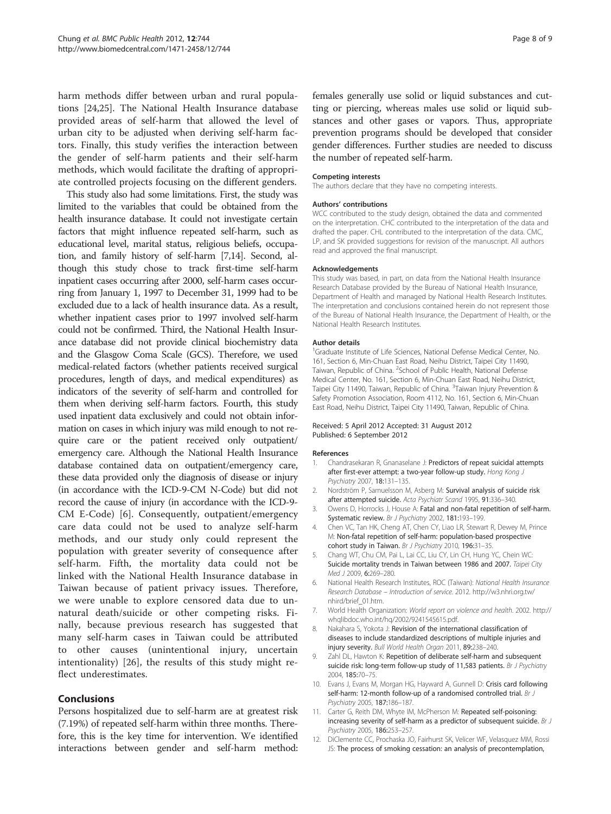<span id="page-7-0"></span>harm methods differ between urban and rural populations [[24,25\]](#page-8-0). The National Health Insurance database provided areas of self-harm that allowed the level of urban city to be adjusted when deriving self-harm factors. Finally, this study verifies the interaction between the gender of self-harm patients and their self-harm methods, which would facilitate the drafting of appropriate controlled projects focusing on the different genders.

This study also had some limitations. First, the study was limited to the variables that could be obtained from the health insurance database. It could not investigate certain factors that might influence repeated self-harm, such as educational level, marital status, religious beliefs, occupation, and family history of self-harm [7[,14](#page-8-0)]. Second, although this study chose to track first-time self-harm inpatient cases occurring after 2000, self-harm cases occurring from January 1, 1997 to December 31, 1999 had to be excluded due to a lack of health insurance data. As a result, whether inpatient cases prior to 1997 involved self-harm could not be confirmed. Third, the National Health Insurance database did not provide clinical biochemistry data and the Glasgow Coma Scale (GCS). Therefore, we used medical-related factors (whether patients received surgical procedures, length of days, and medical expenditures) as indicators of the severity of self-harm and controlled for them when deriving self-harm factors. Fourth, this study used inpatient data exclusively and could not obtain information on cases in which injury was mild enough to not require care or the patient received only outpatient/ emergency care. Although the National Health Insurance database contained data on outpatient/emergency care, these data provided only the diagnosis of disease or injury (in accordance with the ICD-9-CM N-Code) but did not record the cause of injury (in accordance with the ICD-9- CM E-Code) [6]. Consequently, outpatient/emergency care data could not be used to analyze self-harm methods, and our study only could represent the population with greater severity of consequence after self-harm. Fifth, the mortality data could not be linked with the National Health Insurance database in Taiwan because of patient privacy issues. Therefore, we were unable to explore censored data due to unnatural death/suicide or other competing risks. Finally, because previous research has suggested that many self-harm cases in Taiwan could be attributed to other causes (unintentional injury, uncertain intentionality) [[26](#page-8-0)], the results of this study might reflect underestimates.

# Conclusions

Persons hospitalized due to self-harm are at greatest risk (7.19%) of repeated self-harm within three months. Therefore, this is the key time for intervention. We identified interactions between gender and self-harm method: females generally use solid or liquid substances and cutting or piercing, whereas males use solid or liquid substances and other gases or vapors. Thus, appropriate prevention programs should be developed that consider gender differences. Further studies are needed to discuss the number of repeated self-harm.

#### Competing interests

The authors declare that they have no competing interests.

#### Authors' contributions

WCC contributed to the study design, obtained the data and commented on the interpretation. CHC contributed to the interpretation of the data and drafted the paper. CHL contributed to the interpretation of the data. CMC, LP, and SK provided suggestions for revision of the manuscript. All authors read and approved the final manuscript.

#### Acknowledgements

This study was based, in part, on data from the National Health Insurance Research Database provided by the Bureau of National Health Insurance, Department of Health and managed by National Health Research Institutes. The interpretation and conclusions contained herein do not represent those of the Bureau of National Health Insurance, the Department of Health, or the National Health Research Institutes.

#### Author details

<sup>1</sup>Graduate Institute of Life Sciences, National Defense Medical Center, No. 161, Section 6, Min-Chuan East Road, Neihu District, Taipei City 11490, Taiwan, Republic of China. <sup>2</sup>School of Public Health, National Defense Medical Center, No. 161, Section 6, Min-Chuan East Road, Neihu District, Taipei City 11490, Taiwan, Republic of China. <sup>3</sup>Taiwan Injury Prevention 8 Safety Promotion Association, Room 4112, No. 161, Section 6, Min-Chuan East Road, Neihu District, Taipei City 11490, Taiwan, Republic of China.

#### Received: 5 April 2012 Accepted: 31 August 2012 Published: 6 September 2012

#### References

- 1. Chandrasekaran R, Gnanaselane J: Predictors of repeat suicidal attempts after first-ever attempt: a two-year follow-up study. Hong Kong J Psychiatry 2007, 18:131–135.
- 2. Nordström P, Samuelsson M, Asberg M: Survival analysis of suicide risk after attempted suicide. Acta Psychiatr Scand 1995, 91:336–340.
- 3. Owens D, Horrocks J, House A: Fatal and non-fatal repetition of self-harm. Systematic review. Br J Psychiatry 2002, 181:193–199.
- 4. Chen VC, Tan HK, Cheng AT, Chen CY, Liao LR, Stewart R, Dewey M, Prince M: Non-fatal repetition of self-harm: population-based prospective cohort study in Taiwan. Br J Psychiatry 2010, 196:31-35.
- 5. Chang WT, Chu CM, Pai L, Lai CC, Liu CY, Lin CH, Hung YC, Chein WC: Suicide mortality trends in Taiwan between 1986 and 2007. Taipei City Med J 2009, 6:269–280.
- 6. National Health Research Institutes, ROC (Taiwan): National Health Insurance Research Database – Introduction of service. 2012. [http://w3.nhri.org.tw/](http://w3.nhri.org.tw/nhird/brief_01.htm) [nhird/brief\\_01.htm](http://w3.nhri.org.tw/nhird/brief_01.htm).
- 7. World Health Organization: World report on violence and health. 2002. [http://](http://whqlibdoc.who.int/hq/2002/9241545615.pdf) [whqlibdoc.who.int/hq/2002/9241545615.pdf](http://whqlibdoc.who.int/hq/2002/9241545615.pdf).
- 8. Nakahara S, Yokota J: Revision of the international classification of diseases to include standardized descriptions of multiple injuries and injury severity. Bull World Health Organ 2011, 89:238–240.
- 9. Zahl DL, Hawton K: Repetition of deliberate self-harm and subsequent suicide risk: long-term follow-up study of 11,583 patients. Br J Psychiatry 2004, 185:70–75.
- 10. Evans J, Evans M, Morgan HG, Hayward A, Gunnell D: Crisis card following self-harm: 12-month follow-up of a randomised controlled trial. Br J Psychiatry 2005, 187:186–187.
- 11. Carter G, Reith DM, Whyte IM, McPherson M: Repeated self-poisoning: increasing severity of self-harm as a predictor of subsequent suicide. Br J Psychiatry 2005, 186:253–257.
- 12. DiClemente CC, Prochaska JO, Fairhurst SK, Velicer WF, Velasquez MM, Rossi JS: The process of smoking cessation: an analysis of precontemplation,